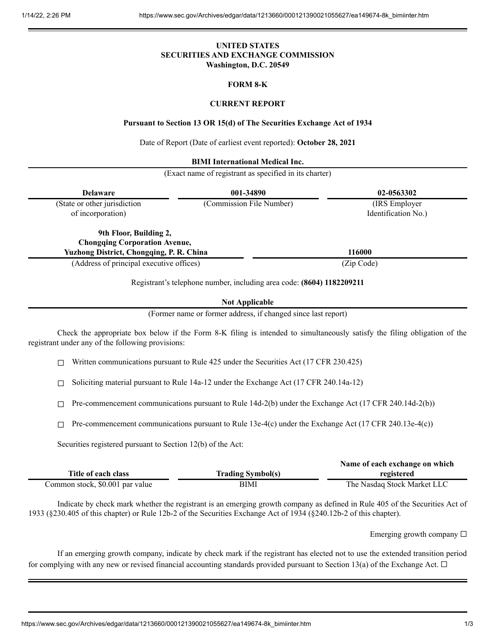## **UNITED STATES SECURITIES AND EXCHANGE COMMISSION Washington, D.C. 20549**

### **FORM 8-K**

### **CURRENT REPORT**

#### **Pursuant to Section 13 OR 15(d) of The Securities Exchange Act of 1934**

Date of Report (Date of earliest event reported): **October 28, 2021**

#### **BIMI International Medical Inc.**

(Exact name of registrant as specified in its charter)

| <b>Delaware</b>                                 | 001-34890                | 02-0563302          |  |
|-------------------------------------------------|--------------------------|---------------------|--|
| (State or other jurisdiction                    | (Commission File Number) | (IRS Employer)      |  |
| of incorporation)                               |                          | Identification No.) |  |
| 9th Floor, Building 2,                          |                          |                     |  |
| <b>Chongqing Corporation Avenue,</b>            |                          |                     |  |
| <b>Yuzhong District, Chongqing, P. R. China</b> |                          | 116000              |  |
| (Address of principal executive offices)        |                          | (Zip Code)          |  |

Registrant's telephone number, including area code: **(8604) 1182209211**

#### **Not Applicable**

(Former name or former address, if changed since last report)

Check the appropriate box below if the Form 8-K filing is intended to simultaneously satisfy the filing obligation of the registrant under any of the following provisions:

 $\Box$  Written communications pursuant to Rule 425 under the Securities Act (17 CFR 230.425)

☐ Soliciting material pursuant to Rule 14a-12 under the Exchange Act (17 CFR 240.14a-12)

 $\Box$  Pre-commencement communications pursuant to Rule 14d-2(b) under the Exchange Act (17 CFR 240.14d-2(b))

 $\Box$  Pre-commencement communications pursuant to Rule 13e-4(c) under the Exchange Act (17 CFR 240.13e-4(c))

Securities registered pursuant to Section 12(b) of the Act:

|                                 |                          | Name of each exchange on which |  |
|---------------------------------|--------------------------|--------------------------------|--|
| Title of each class             | <b>Trading Symbol(s)</b> | registered                     |  |
| Common stock, \$0.001 par value | BIMI                     | The Nasdaq Stock Market LLC    |  |

Indicate by check mark whether the registrant is an emerging growth company as defined in Rule 405 of the Securities Act of 1933 (§230.405 of this chapter) or Rule 12b-2 of the Securities Exchange Act of 1934 (§240.12b-2 of this chapter).

Emerging growth company  $\Box$ 

If an emerging growth company, indicate by check mark if the registrant has elected not to use the extended transition period for complying with any new or revised financial accounting standards provided pursuant to Section 13(a) of the Exchange Act.  $\Box$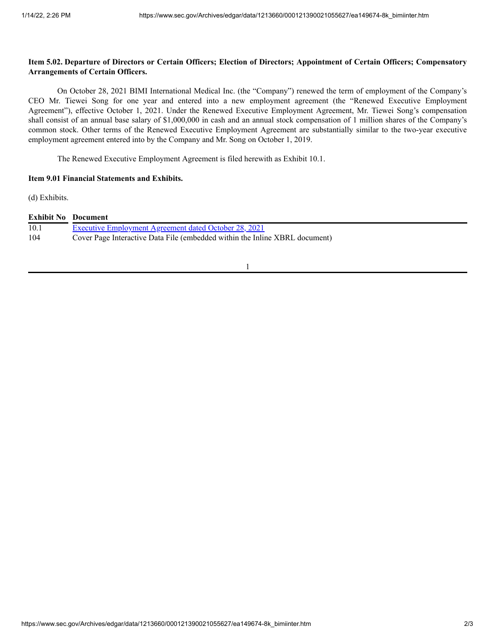# Item 5.02. Departure of Directors or Certain Officers; Election of Directors; Appointment of Certain Officers; Compensatory **Arrangements of Certain Officers.**

On October 28, 2021 BIMI International Medical Inc. (the "Company") renewed the term of employment of the Company's CEO Mr. Tiewei Song for one year and entered into a new employment agreement (the "Renewed Executive Employment Agreement"), effective October 1, 2021. Under the Renewed Executive Employment Agreement, Mr. Tiewei Song's compensation shall consist of an annual base salary of \$1,000,000 in cash and an annual stock compensation of 1 million shares of the Company's common stock. Other terms of the Renewed Executive Employment Agreement are substantially similar to the two-year executive employment agreement entered into by the Company and Mr. Song on October 1, 2019.

The Renewed Executive Employment Agreement is filed herewith as Exhibit 10.1.

# **Item 9.01 Financial Statements and Exhibits.**

(d) Exhibits.

| <b>Exhibit No</b> Document |                                                                             |
|----------------------------|-----------------------------------------------------------------------------|
| 10.1                       | <b>Executive Employment Agreement dated October 28, 2021</b>                |
| 104                        | Cover Page Interactive Data File (embedded within the Inline XBRL document) |

1